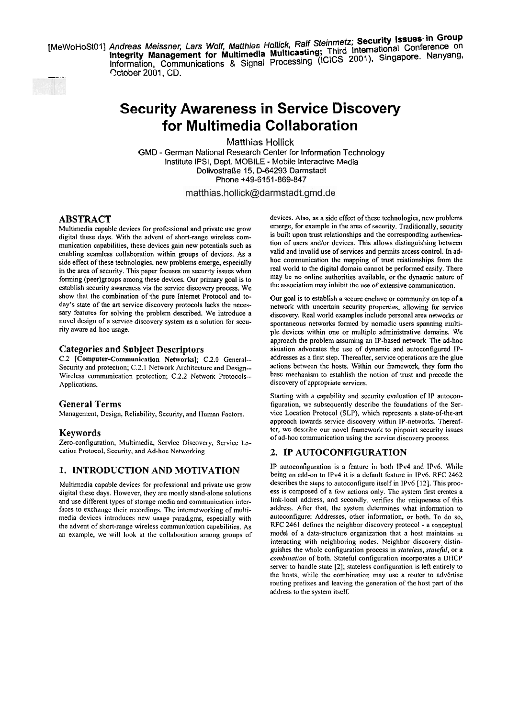MeWoHoSt01] Andreas Melssner, Lars Wolf, Matthlas Hollick, Hasting; Third International Conference off<br>Integrity Management for Multimedia Multicasting; Third International Conference of Information, Communications & Signal Processing (ICICS 2001). Singapore. **Nancy** *S* Method Control of The Children Community Management Community Control Community Control Control Control Control Control Control Control Control Control Control Control Control Control Control Control Control Control Contro



# **Security Awareness in Service Discovery for Multimedia Collaboration**

**Matthias Hollick GMD** - **German National Research Center for Information Technology Institute IPSI, Dept. MOBILE** - **Mobile lnteractive Media Dolivostraße 15, D-64293 Darmstadt Phone +49-6151-869-847** 

matthias.hollick@darmstadt.gmd.de

## **ABSTRACT**

Multimedia capable devices for professional and private use grow digital these days. With the advent of short-range wireless communication capabilities, these devices gain new potentials such as enabling seamless collaboration within groups of devices. As a side effect of these technologies, new problems emerge, especially in the area of security. This paper focuses on security issues when forming (peer)groups among these devices. Our primary goal is to establish security awareness via the service discovery process. We show that the combination of the pure Intemet Protocol and today's state of the art service discovery protocols lacks the necessary features for solving the problem described. We introduce a novel design of a service discovery system as a solution for security aware ad-hoc usage.

## **Categories and Subject Descriptors**

C.2 [Computer-Communication Networks]; C.2.0 General--Security and protection; C.2.1 Network Architecture and Design-- Wireless communication protection; C.2.2 Network Protocols-- Applications.

### **General Terms**

Management, Design, Reliability, Security, and Human Factors.

### **Keywords**

Zero-configuration, Multimedia, Service Discovery, Service Location Protocol, Security, and Ad-hoc Networking.

## **1. INTRODUCTION AND MOTIVATION**

Multimedia capable devices for professional and private use grow digital these days. However, they are mostly stand-alone solutions and use different types of Storage media and communication interfaces to exchange their recordings. The intemetworking of multimedia devices introduces new usage paradigms, especially with the advent of short-range wireless communication capabilities. As an example, we will look at the collaboration among groups of devices. Also, as a side effect of these technologies, new problems emerge, for example in the area of security. Traditionally, security is built upon trust relationships and the corresponding authentication of users and/or devices. This allows distinguishing between valid and invalid use of services and permits access control. In adhoc comrnunication the mapping of trust relationships from the real world to the digital domain cannot be perfomed easily. There may be no online authorities available, or the dynamic nature of the association may inhibit the use of extensive communication.

Our goal is to establish a secure enclave or community on top of a network with uncertain security properties, allowing for service discovery. Real world examples include personal area networks or spontaneous networks formed by nomadic users spanning multiple devices within one or multiple administrative domains. We approach the problem assuming an IP-based network. The ad-hoc situation advocates the use of dynamic and autoconfigured IPaddresses as a first step. Thereafter, service operations are the glue actions between the hosts. Within our framework, they form the base mechanism to establish the notion of trust and precede the discovery of appropriate services.

Starting with a capability and security evaluation of IP autoconfiguration, we subsequently describe the foundations of the Service Location Protocol (SLP), which represents a state-of-the-art approach towards service discovery within IP-networks. Thereafter, we describe our novel framework to pinpoint security issues of ad-hoc communication using the sewice discovery process.

## **2. IP AUTOCONFIGURATION**

IP autoconfiguration is a feature in both IPv4 and 1Pv6. While beihg an add-on to IPv4 it is a default feature in IPv6. RFC 2462 describes the steps to autoconfigure itself in IPv6 [12]. This process is composed of a few actions only. The system first creates a link-local address, and secondly, verifies the uniqueness of this address. After that, the system determines what information to autoconfigure: Addresses, other information, or both. To do so, RFC 2461 defines the neighbor discovery protocol - a conceptual model of a data-structure organization that a host maintains in interacting with neighboring nodes. Neighbor discovery distinguishes the whole configuration process in *stoteless, statebl,* or a *conrbinntion* of both. Stateful configuration incorporates a DHCP server to handle state [2]; stateless configuration is left entirely to the hosts, while the combination may use a router to advertise routing prefixes and leaving the generation of the host part of the address to the system itself.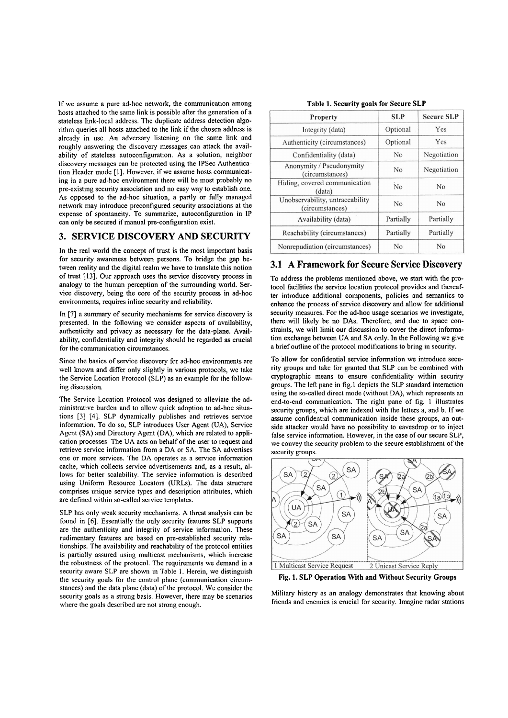If we assume a pure ad-hoc network, the communication among hosts attached to the Same link is possible after the generation of a stateless link-local address. The duplicate address detection algorithm queries all hosts attached to the link if the chosen address is already in use. An adversary listening on the Same link and roughly answering the discovery messages can attack the availability of stateless autoconfiguration. As a solution, neighbor discovery messages can be protected using the lPSec Authentication Header mode [I]. However, if we assume hosts communicating in a pure ad-hoc environment there will be most probably no pre-existing security association and no easy way to establish one. As opposed to the ad-hoc situation, a partly or fully managed network may introduce preconfigured security associations at the expense of spontaneity. To summarize, autoconfiguration in 1P can only be secured if manual pre-configuration exist.

## **3. SERVICE DISCOVERY AND SECURITY**

In the real world the concept of trust is the most important basis for security awareness between persons. To bridge the gap between reality and the digital realm we have to translate this notion of trust [13]. Our approach uses the service discovery process in analogy to the human perception of the surrounding world. Service discovery, being the core of the security process in ad-hoc environments, requires inline security and reliability.

In [7] a Summary of security mechanisms for service discovery is presented. In the following we consider aspects of availability, authenticity and privacy as necessary for the data-plane. Availability, confidentiality and integrity should be regarded as crucial for the communication circumstances.

Since the basics of service discovery for ad-hoc environments are well known and differ only slightly in various protocols, we take the Service Location Protocol (SLP) as an example for the following discussion.

The Service Location Protocol was designed to alleviate the administrative burden and to allow quick adoption to ad-hoc situations **[3]** [4]. SLP dynamically publishes and retrieves service information. To do so, SLP introduces User Agent (UA), Service Agent (SA) and Directory Agent (DA), which are related to application processes. The UA acts on behalf of the user to request and retrieve service information from a DA or SA. The SA advertises one or more services. The DA operates as a service information cache, which collects service advertisements and, as a result, allows for better scalability. The service information is described using Uniform Resource Locators (URLs). The data structure comprises unique service types and description attributes, which are defined within so-called service templates.

SLP has only weak security mechanisms. A threat analysis can be found in *[6].* Essentially the only security features SLP supports are the authenticity and integrity of service information. These rudimentary features are based on pre-established security relationships. The availability and reachability of the protocol entities is partially assured using multicast rnechanisms, which increase the robustness of the protocol. The requirements we demand in a security aware SLP are shown in Table I. Herein, we distinguish the security goals for the control plane (communication circumstances) and the data plane (data) of the protocol. We consider the security goals as a strong basis. However, there may be scenarios where the goals described are not strong enough.

| Table 1. Security goals for Secure SLP |  |  |
|----------------------------------------|--|--|
|----------------------------------------|--|--|

| Property                                           | <b>SLP</b>     | <b>Secure SLP</b> |
|----------------------------------------------------|----------------|-------------------|
| Integrity (data)                                   | Optional       | Yes               |
| Authenticity (circumstances)                       | Optional       | Yes               |
| Confidentiality (data)                             | N <sub>o</sub> | Negotiation       |
| Anonymity / Pseudonymity<br>(circumstances)        | No             | Negotiation       |
| Hiding, covered communication<br>(data)            | No             | N <sub>o</sub>    |
| Unobservability, untraceability<br>(circumstances) | No             | No                |
| Availability (data)                                | Partially      | Partially         |
| Reachability (circumstances)                       | Partially      | Partially         |
| Nonrepudiation (circumstances)                     | No             | N <sub>0</sub>    |

#### **3.1 A Framework for Secure Service Discovery**

To address the problems mentioned above, we Start with the protocol facilities the service location protocol provides and thereafter introduce additional components, policies and semantics to enhance the process of service discovery and allow for additional security measures. For the ad-hoc usage scenarios we investigate, there will likely be no DAS. Therefore, and due to space constraints, we will limit our discussion to cover the direct information exchange between UA and SA only. In the Following we give a brief outline of the protocol modifications to bring in security.

To allow for confidential service information we introduce security groups and take for granted that SLP can be combined with cryptographic means to ensure confidentiality within security groups. The lefi pane in fig.1 depicts the SLP standard interaction using the so-called direct mode (without DA), which represents an end-to-end communication. The right pane of fig. 1 illustrates security groups, which are indexed with the letters a, and b. If we assume confidential communication inside these groups, an outside attacker would have no possibility to eavesdrop or to inject false service information. However, in the case of our secure SLP, we convey the security problem to the secure establishment of the security groups.



**Fig.** 1. SLP **Operation With and Without Security Groups** 

Military history as an analogy demonstrates that knowing about friends and enemies is crucial for security. Imagine radar stations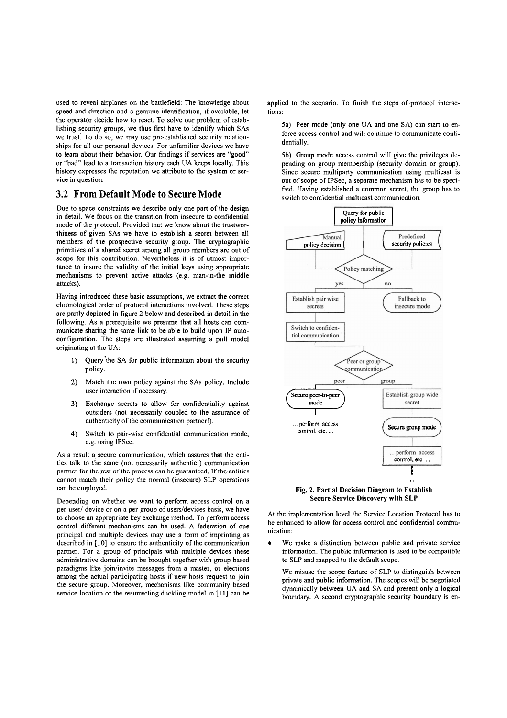used to reveal airplanes on the battlefield: The knowledge about speed and direction and a genuine identification, if available, let the Operator decide how to react. To solve our problem of establishing security groups, we thus first have to identify which SAs we trust. To do so, we may use pre-established security relationships for all our personal devices. For unfamiliar devices we have to learn about their behavior. Our findings if services are "good" or "bad" lead to a transaction history each UA keeps locally. This history expresses the reputation we attribute to the system or service in question.

#### **3.2 From Default Mode to Secure Mode**

Due to space constraints we describe only one part of the design in detail. We focus on the transition from insecure to confidential mode of the protocol. Provided that we know about the trustworthiness of given SAs we have to establish a secret between all members of the prospective security group. The cryptographic primitives of a shared secret among all group members are out of scope for this contribution. Nevertheless it is of utmost importance to insure the validity of the initial keys using appropriate mechanisms to prevent active attacks (e.g. man-in-the middle attacks).

Having introduced these basic assumptions, we extract the correct chronological order of protocol interactions involved. These steps are partly depicted in figure 2 below and described in detail in the following. As a prerequisite we presume that all hosts can communicate sharing the Same link to be able to build upon IP autoconfiguration. The steps are illustrated assuming a pull model originating at the UA:

- 1) Query the SA for public information about the security policy.
- 2) Match the own policy against the SAs policy. lnclude user interaction if necessary.
- **3)** Exchange secrets to allow for confidentiality against outsiders (not necessarily coupled to the assurance of authenticity of the communication partner!).
- 4) Switch to pair-wise confidential communication mode, e.g. using 1PSec.

As a result a secure communication, which assures that the entilies talk to the Same (not necessarily authentic!) communication partner for the rest of the process can be guaranteed. If the entities cannot match their policy the normal (insecure) SLP operations can be employed.

Depending on whether we Want to perform access control on a per-user/-device or on a per-group of users/devices basis, we have to choose an appropriate key exchange method. To perfom access control different mechanisms can be used. A federation of one principal and multiple devices may use a form of imprinting as descnbed in [J01 to ensure the authenticity of the communication partner. For a group of principals with multiple devices these administrative domains can be brought together with group based paradigms like join/invite messages from a master, or elections among the actual participating hosts if new hosts request to join the secure group. Moreover, mechanisms like community based service location or the resurrecting duckling model in [I I] can be applied to the scenario. To finish the steps of protocol interactions:

5a) Peer mode (only one UA and one SA) can start to enforce access control and will continue to communicate confidentially.

5b) Group mode access control will give the privileges depending on group membership (security domain or group). Since secure multiparty communication using multicast is out of scope of IPSec, a separate mechanism has to be specified. Having established a common secret, the group has to switch to confidential multicast communication.



Fig. **2.** Partial Decision Diagram to Establish Secure Service Discovery with SLP

At the implementation level the Service Location Protocol has to be enhanced to allow for access control and confidential communication:

We make a distinction between public and private service information. The public information is used to be compatible to SLP and mapped to the default scope.

We misuse the scope feature of SLP to distinguish between private and public information. The scopes will be negotiated dynamically between UA and SA and present only a logical boundary. A second cryptographic security boundary is en